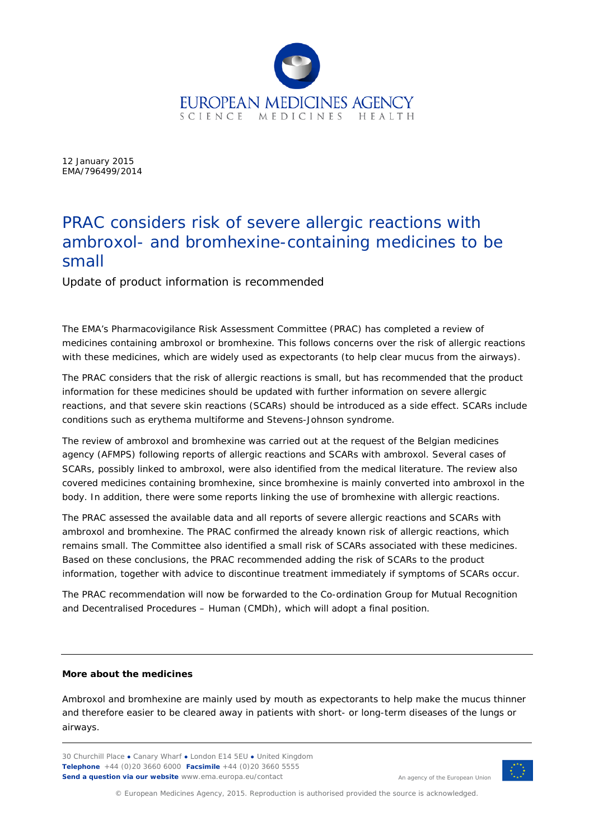

12 January 2015 EMA/796499/2014

## PRAC considers risk of severe allergic reactions with ambroxol- and bromhexine-containing medicines to be small

Update of product information is recommended

The EMA's Pharmacovigilance Risk Assessment Committee (PRAC) has completed a review of medicines containing ambroxol or bromhexine. This follows concerns over the risk of allergic reactions with these medicines, which are widely used as expectorants (to help clear mucus from the airways).

The PRAC considers that the risk of allergic reactions is small, but has recommended that the product information for these medicines should be updated with further information on severe allergic reactions, and that severe skin reactions (SCARs) should be introduced as a side effect. SCARs include conditions such as erythema multiforme and Stevens-Johnson syndrome.

The review of ambroxol and bromhexine was carried out at the request of the Belgian medicines agency (AFMPS) following reports of allergic reactions and SCARs with ambroxol. Several cases of SCARs, possibly linked to ambroxol, were also identified from the medical literature. The review also covered medicines containing bromhexine, since bromhexine is mainly converted into ambroxol in the body. In addition, there were some reports linking the use of bromhexine with allergic reactions.

The PRAC assessed the available data and all reports of severe allergic reactions and SCARs with ambroxol and bromhexine. The PRAC confirmed the already known risk of allergic reactions, which remains small. The Committee also identified a small risk of SCARs associated with these medicines. Based on these conclusions, the PRAC recommended adding the risk of SCARs to the product information, together with advice to discontinue treatment immediately if symptoms of SCARs occur.

The PRAC recommendation will now be forwarded to the Co-ordination Group for Mutual Recognition and Decentralised Procedures – Human (CMDh), which will adopt a final position.

## **More about the medicines**

Ambroxol and bromhexine are mainly used by mouth as expectorants to help make the mucus thinner and therefore easier to be cleared away in patients with short- or long-term diseases of the lungs or airways.

30 Churchill Place **●** Canary Wharf **●** London E14 5EU **●** United Kingdom **Telephone** +44 (0)20 3660 6000 **Facsimile** +44 (0)20 3660 5555 **Send a question via our website** www.ema.europa.eu/contact



An agency of the European Union

© European Medicines Agency, 2015. Reproduction is authorised provided the source is acknowledged.